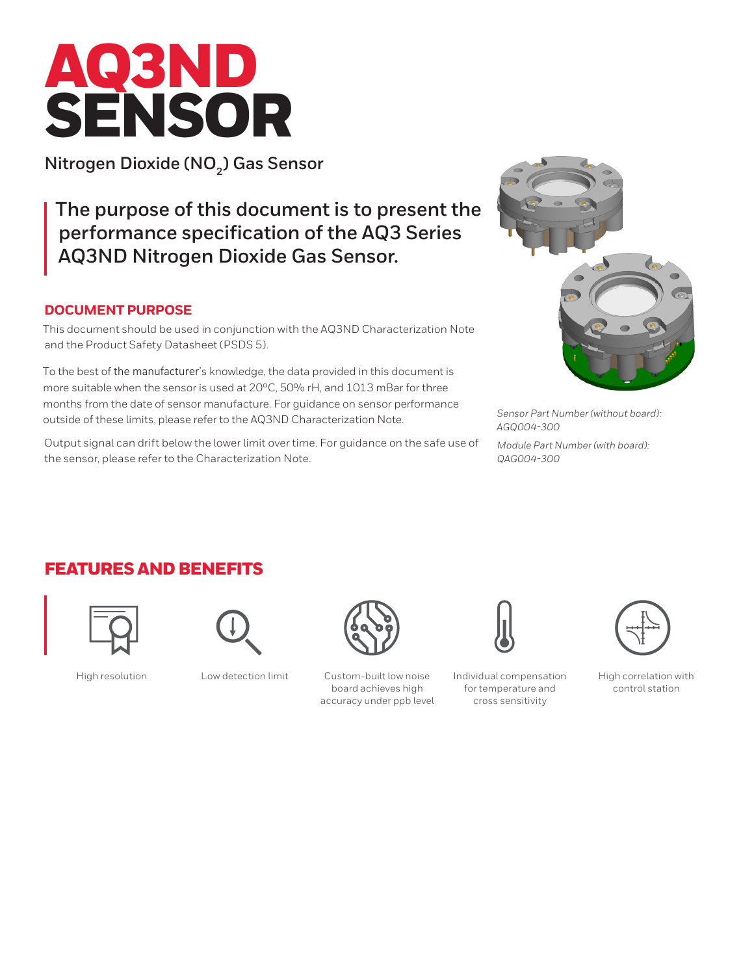# AQ3ND SENSOR

**Nitrogen Dioxide (NO<sub>2</sub>) Gas Sensor** 

**The purpose of this document is to present the performance specification of the AQ3 Series AQ3ND Nitrogen Dioxide Gas Sensor.** 

### **DOCUMENT PURPOSE**

This document should be used in conjunction with the AQ3ND Characterization Note and the Product Safety Datasheet (PSDS 5).

To the best of the manufacturer's knowledge, the data provided in this document is more suitable when the sensor is used at 20°C, 50% rH, and 1013 mBar for three months from the date of sensor manufacture. For guidance on sensor performance outside of these limits, please refer to the AQ3ND Characterization Note.

Output signal can drift below the lower limit over time. For guidance on the safe use of the sensor, please refer to the Characterization Note.



*Sensor Part Number (without board): AGQ004-300*

*Module Part Number (with board): QAG004-300*

## FEATURES AND BENEFITS







High resolution Low detection limit Custom-built low noise board achieves high accuracy under ppb level



Individual compensation for temperature and cross sensitivity



High correlation with control station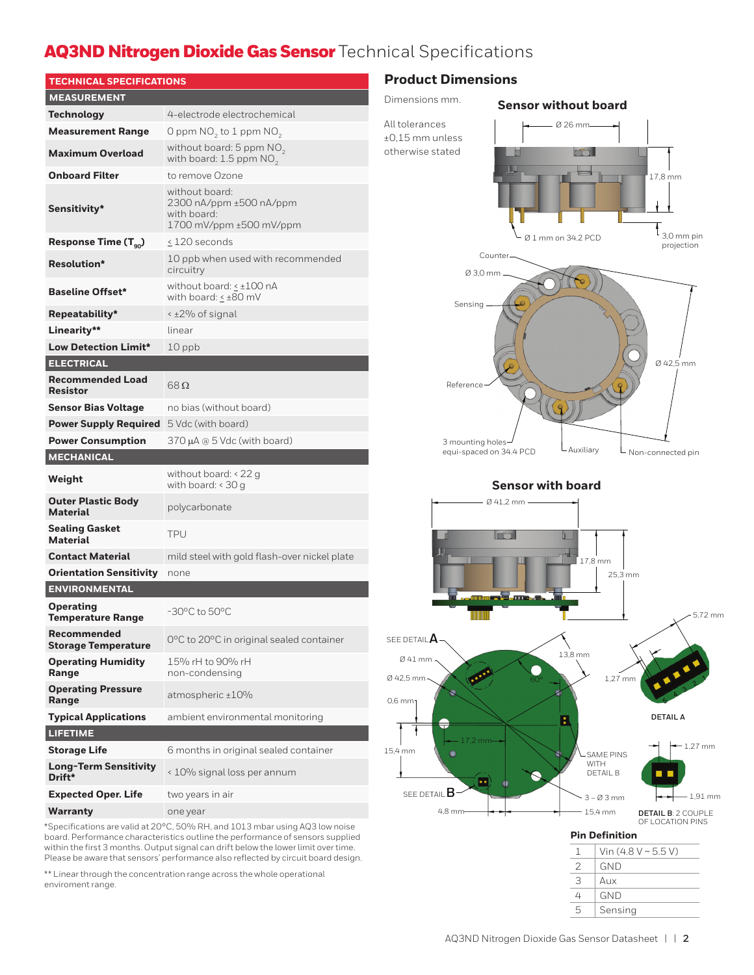# AQ3ND Nitrogen Dioxide Gas Sensor Technical Specifications

| <b>TECHNICAL SPECIFICATIONS</b>              |                                                                                     |  |
|----------------------------------------------|-------------------------------------------------------------------------------------|--|
| <b>MEASUREMENT</b>                           |                                                                                     |  |
| Technology                                   | 4-electrode electrochemical                                                         |  |
| <b>Measurement Range</b>                     | O ppm $NO2$ to 1 ppm $NO2$                                                          |  |
| <b>Maximum Overload</b>                      | without board: $5$ ppm $NO2$<br>with board: 1.5 ppm NO <sub>2</sub>                 |  |
| <b>Onboard Filter</b>                        | to remove Ozone                                                                     |  |
| <b>Sensitivity*</b>                          | without board:<br>2300 nA/ppm ±500 nA/ppm<br>with board:<br>1700 mV/ppm ±500 mV/ppm |  |
| Response Time $(T_{\alpha_0})$               | < 120 seconds                                                                       |  |
| <b>Resolution*</b>                           | 10 ppb when used with recommended<br>circuitry                                      |  |
| <b>Baseline Offset*</b>                      | without board: < ±100 nA<br>with board: < ±80 mV                                    |  |
| Repeatability*                               | < ±2% of signal                                                                     |  |
| Linearity**                                  | linear                                                                              |  |
| <b>Low Detection Limit*</b>                  | $10$ ppb                                                                            |  |
| <b>ELECTRICAL</b>                            |                                                                                     |  |
| <b>Recommended Load</b><br><b>Resistor</b>   | $68\,\Omega$                                                                        |  |
| Sensor Bias Voltage                          | no bias (without board)                                                             |  |
| <b>Power Supply Required</b>                 | 5 Vdc (with board)                                                                  |  |
| <b>Power Consumption</b>                     | $370 \mu A \otimes 5 \text{ Vdc}$ (with board)                                      |  |
| <b>MECHANICAL</b>                            |                                                                                     |  |
| Weight                                       | without board: $<$ 22 g<br>with board: $<$ 30 g                                     |  |
| <b>Outer Plastic Body</b><br><b>Material</b> | polycarbonate                                                                       |  |
| <b>Sealing Gasket</b><br><b>Material</b>     | TPU                                                                                 |  |
| <b>Contact Material</b>                      | mild steel with gold flash-over nickel plate                                        |  |
| <b>Orientation Sensitivity</b>               | none                                                                                |  |
| <b>ENVIRONMENTAL</b>                         |                                                                                     |  |
| <b>Operating</b><br><b>Temperature Range</b> | -30°C to 50°C                                                                       |  |
| Recommended<br><b>Storage Temperature</b>    | 0°C to 20°C in original sealed container                                            |  |
| <b>Operating Humidity</b><br>Range           | 15% rH to 90% rH<br>non-condensing                                                  |  |
| <b>Operating Pressure</b><br>Range           | atmospheric ±10%                                                                    |  |
| <b>Typical Applications</b>                  | ambient environmental monitoring                                                    |  |
| <b>LIFETIME</b>                              |                                                                                     |  |
| <b>Storage Life</b>                          | 6 months in original sealed container                                               |  |
| <b>Long-Term Sensitivity</b><br>Drift*       | < 10% signal loss per annum                                                         |  |
| <b>Expected Oper. Life</b>                   | two years in air                                                                    |  |
| Warranty                                     | one year                                                                            |  |

\*Specifications are valid at 20°C, 50% RH, and 1013 mbar using AQ3 low noise board. Performance characteristics outline the performance of sensors supplied within the first 3 months. Output signal can drift below the lower limit over time. Please be aware that sensors' performance also reflected by circuit board design.

\*\* Linear through the concentration range across the whole operational enviroment range.

## **Product Dimensions**





Ø 42,5 mm

17,8 mm

 $\mathfrak{k}_{3,0\text{ mm pin}}$ projection

Ø 1 mm on 34.2 PCD

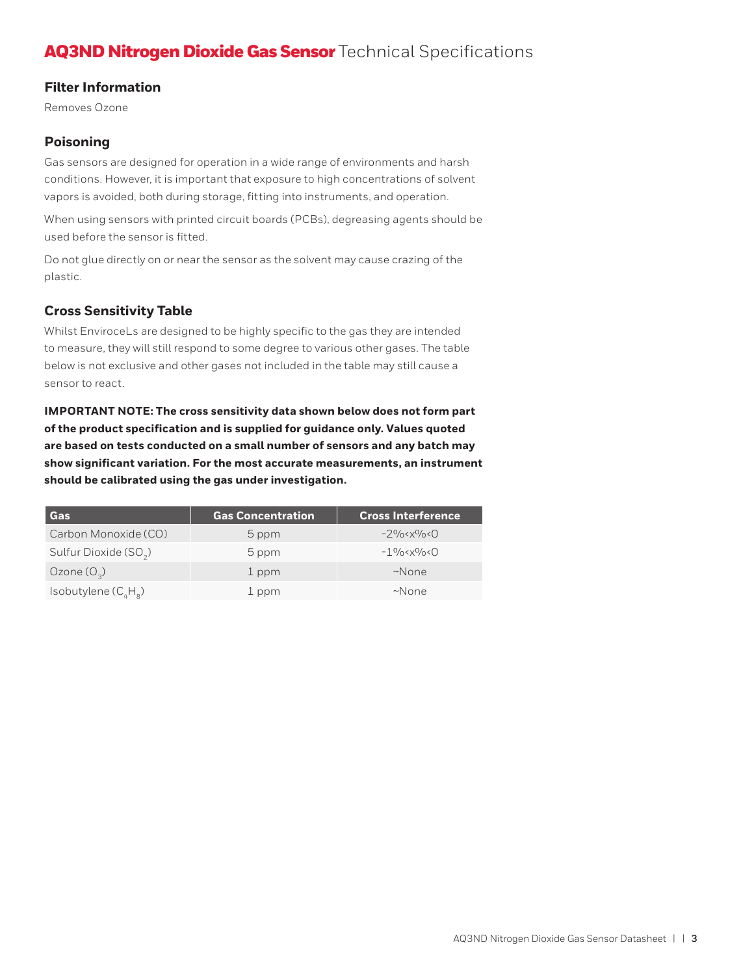# AQ3ND Nitrogen Dioxide Gas Sensor Technical Specifications

#### **Filter Information**

Removes Ozone

#### **Poisoning**

Gas sensors are designed for operation in a wide range of environments and harsh conditions. However, it is important that exposure to high concentrations of solvent vapors is avoided, both during storage, fitting into instruments, and operation.

When using sensors with printed circuit boards (PCBs), degreasing agents should be used before the sensor is fitted.

Do not glue directly on or near the sensor as the solvent may cause crazing of the plastic.

#### **Cross Sensitivity Table**

Whilst EnviroceLs are designed to be highly specific to the gas they are intended to measure, they will still respond to some degree to various other gases. The table below is not exclusive and other gases not included in the table may still cause a sensor to react.

**IMPORTANT NOTE: The cross sensitivity data shown below does not form part of the product specification and is supplied for guidance only. Values quoted are based on tests conducted on a small number of sensors and any batch may show significant variation. For the most accurate measurements, an instrument should be calibrated using the gas under investigation.** 

| Gas                               | <b>Gas Concentration</b> | <b>Cross Interference</b>                           |
|-----------------------------------|--------------------------|-----------------------------------------------------|
| Carbon Monoxide (CO)              | 5 ppm                    | $-29$ /0 $\times$ $\times$ $9$ /0 $\times$ $\Omega$ |
| Sulfur Dioxide (SO <sub>2</sub> ) | 5 ppm                    | $-1\frac{9}{6}$ < x $\frac{9}{6}$ < 0               |
| Ozone $(O_3)$                     | 1 ppm                    | $~\sim$ None                                        |
| Isobutylene ( $C_{\mu}H_{\mu}$ )  | 1 ppm                    | $~\sim$ None                                        |